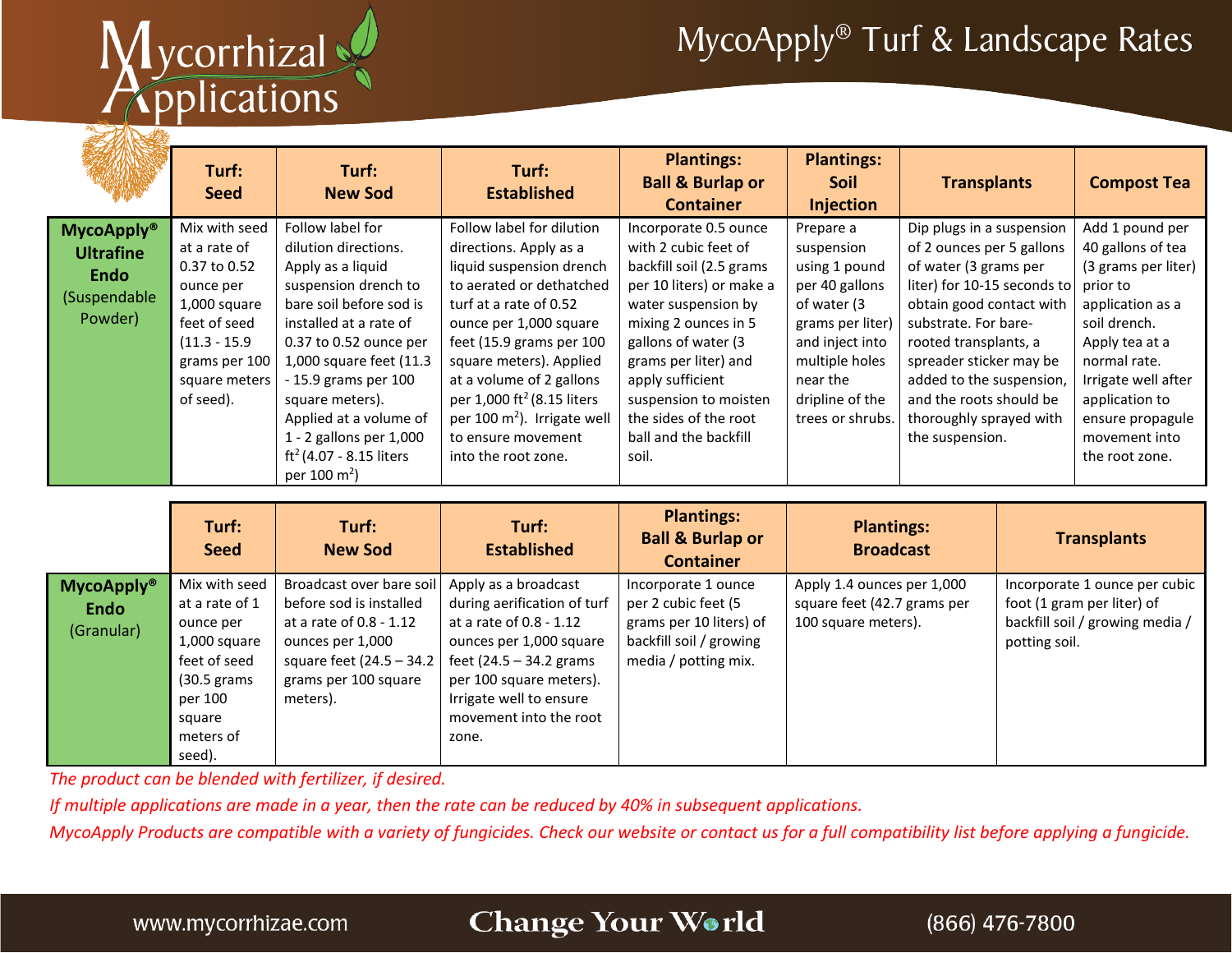# Mycorrhizal

## MycoApply® Turf & Landscape Rates

|                                                                                             | Turf:<br><b>Seed</b>                                                                                                                                         | Turf:<br><b>New Sod</b>                                                                                                                                                                                                                                                                                                                                  | Turf:<br><b>Established</b>                                                                                                                                                                                                                                                                                                                                                | <b>Plantings:</b><br><b>Ball &amp; Burlap or</b><br><b>Container</b>                                                                                                                                                                                                                                        | <b>Plantings:</b><br><b>Soil</b><br><b>Injection</b>                                                                                                                                  | <b>Transplants</b>                                                                                                                                                                                                                                                                                                          | <b>Compost Tea</b>                                                                                                                                                                                                                            |
|---------------------------------------------------------------------------------------------|--------------------------------------------------------------------------------------------------------------------------------------------------------------|----------------------------------------------------------------------------------------------------------------------------------------------------------------------------------------------------------------------------------------------------------------------------------------------------------------------------------------------------------|----------------------------------------------------------------------------------------------------------------------------------------------------------------------------------------------------------------------------------------------------------------------------------------------------------------------------------------------------------------------------|-------------------------------------------------------------------------------------------------------------------------------------------------------------------------------------------------------------------------------------------------------------------------------------------------------------|---------------------------------------------------------------------------------------------------------------------------------------------------------------------------------------|-----------------------------------------------------------------------------------------------------------------------------------------------------------------------------------------------------------------------------------------------------------------------------------------------------------------------------|-----------------------------------------------------------------------------------------------------------------------------------------------------------------------------------------------------------------------------------------------|
| <b>MycoApply</b> <sup>®</sup><br><b>Ultrafine</b><br><b>Endo</b><br>(Suspendable<br>Powder) | Mix with seed<br>at a rate of<br>0.37 to 0.52<br>ounce per<br>1,000 square<br>feet of seed<br>$(11.3 - 15.9)$<br>grams per 100<br>square meters<br>of seed). | Follow label for<br>dilution directions.<br>Apply as a liquid<br>suspension drench to<br>bare soil before sod is<br>installed at a rate of<br>0.37 to 0.52 ounce per<br>1,000 square feet (11.3<br>- 15.9 grams per 100<br>square meters).<br>Applied at a volume of<br>1 - 2 gallons per 1,000<br>$ft^2(4.07 - 8.15$ liters<br>per 100 m <sup>2</sup> ) | Follow label for dilution<br>directions. Apply as a<br>liquid suspension drench<br>to aerated or dethatched<br>turf at a rate of 0.52<br>ounce per 1,000 square<br>feet (15.9 grams per 100<br>square meters). Applied<br>at a volume of 2 gallons<br>per 1,000 ft <sup>2</sup> (8.15 liters<br>per 100 $m2$ ). Irrigate well<br>to ensure movement<br>into the root zone. | Incorporate 0.5 ounce<br>with 2 cubic feet of<br>backfill soil (2.5 grams<br>per 10 liters) or make a<br>water suspension by<br>mixing 2 ounces in 5<br>gallons of water (3<br>grams per liter) and<br>apply sufficient<br>suspension to moisten<br>the sides of the root<br>ball and the backfill<br>soil. | Prepare a<br>suspension<br>using 1 pound<br>per 40 gallons<br>of water (3<br>grams per liter)<br>and inject into<br>multiple holes<br>near the<br>dripline of the<br>trees or shrubs. | Dip plugs in a suspension<br>of 2 ounces per 5 gallons<br>of water (3 grams per<br>liter) for 10-15 seconds to<br>obtain good contact with<br>substrate. For bare-<br>rooted transplants, a<br>spreader sticker may be<br>added to the suspension,<br>and the roots should be<br>thoroughly sprayed with<br>the suspension. | Add 1 pound per<br>40 gallons of tea<br>(3 grams per liter)<br>prior to<br>application as a<br>soil drench.<br>Apply tea at a<br>normal rate.<br>Irrigate well after<br>application to<br>ensure propagule<br>movement into<br>the root zone. |

|                                                | Turf:<br><b>Seed</b>                                                                                                                       | Turf:<br><b>New Sod</b>                                                                                                                                                                   | Turf:<br><b>Established</b>                                                                                                                                                                           | <b>Plantings:</b><br><b>Ball &amp; Burlap or</b><br><b>Container</b>                                                     | <b>Plantings:</b><br><b>Broadcast</b>                                            | <b>Transplants</b>                                                                                              |
|------------------------------------------------|--------------------------------------------------------------------------------------------------------------------------------------------|-------------------------------------------------------------------------------------------------------------------------------------------------------------------------------------------|-------------------------------------------------------------------------------------------------------------------------------------------------------------------------------------------------------|--------------------------------------------------------------------------------------------------------------------------|----------------------------------------------------------------------------------|-----------------------------------------------------------------------------------------------------------------|
| <b>MycoApply®</b><br><b>Endo</b><br>(Granular) | Mix with seed<br>at a rate of 1<br>ounce per<br>1,000 square<br>feet of seed<br>$(30.5)$ grams<br>per 100<br>square<br>meters of<br>seed). | Broadcast over bare soil   Apply as a broadcast<br>before sod is installed<br>at a rate of 0.8 - 1.12<br>ounces per 1,000<br>square feet (24.5 - 34.2<br>grams per 100 square<br>meters). | during aerification of turf<br>at a rate of 0.8 - 1.12<br>ounces per 1,000 square<br>feet (24.5 – 34.2 grams<br>per 100 square meters).<br>Irrigate well to ensure<br>movement into the root<br>zone. | Incorporate 1 ounce<br>per 2 cubic feet (5<br>grams per 10 liters) of<br>backfill soil / growing<br>media / potting mix. | Apply 1.4 ounces per 1,000<br>square feet (42.7 grams per<br>100 square meters). | Incorporate 1 ounce per cubic<br>foot (1 gram per liter) of<br>backfill soil / growing media /<br>potting soil. |

*The product can be blended with fertilizer, if desired.*

*If multiple applications are made in a year, then the rate can be reduced by 40% in subsequent applications.* 

*MycoApply Products are compatible with a variety of fungicides. Check our website or contact us for a full compatibility list before applying a fungicide.*

#### Change Your World